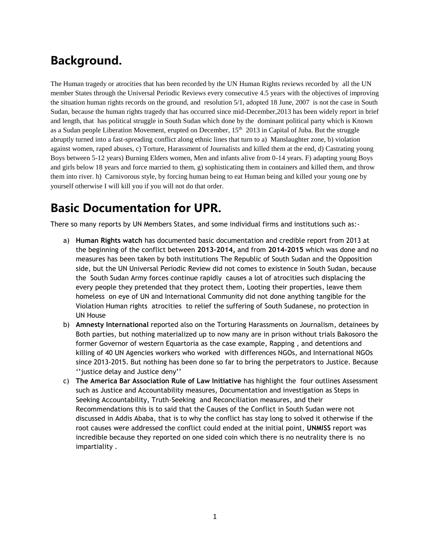# **Background.**

The Human tragedy or atrocities that has been recorded by the UN Human Rights reviews recorded by all the UN member States through the Universal Periodic Reviews every consecutive 4.5 years with the objectives of improving the situation human rights records on the ground, and resolution 5/1, adopted 18 June, 2007 is not the case in South Sudan, because the human rights tragedy that has occurred since mid-December,2013 has been widely report in brief and length, that has political struggle in South Sudan which done by the dominant political party which is Known as a Sudan people Liberation Movement, erupted on December, 15<sup>th</sup> 2013 in Capital of Juba. But the struggle abruptly turned into a fast-spreading conflict along ethnic lines that turn to a) Manslaughter zone, b) violation against women, raped abuses, c) Torture, Harassment of Journalists and killed them at the end, d) Castrating young Boys between 5-12 years) Burning Elders women, Men and infants alive from 0-14 years. F) adapting young Boys and girls below 18 years and force married to them, g) sophisticating them in containers and killed them, and throw them into river. h) Carnivorous style, by forcing human being to eat Human being and killed your young one by yourself otherwise I will kill you if you will not do that order.

# **Basic Documentation for UPR.**

There so many reports by UN Members States, and some individual firms and institutions such as:-

- a) **Human Rights watch** has documented basic documentation and credible report from 2013 at the beginning of the conflict between **2013-2014,** and from **2014-2015** which was done and no measures has been taken by both institutions The Republic of South Sudan and the Opposition side, but the UN Universal Periodic Review did not comes to existence in South Sudan, because the South Sudan Army forces continue rapidly causes a lot of atrocities such displacing the every people they pretended that they protect them, Looting their properties, leave them homeless on eye of UN and International Community did not done anything tangible for the Violation Human rights atrocities to relief the suffering of South Sudanese, no protection in UN House
- b) **Amnesty International** reported also on the Torturing Harassments on Journalism, detainees by Both parties, but nothing materialized up to now many are in prison without trials Bakosoro the former Governor of western Equartoria as the case example, Rapping , and detentions and killing of 40 UN Agencies workers who worked with differences NGOs, and International NGOs since 2013-2015. But nothing has been done so far to bring the perpetrators to Justice. Because ''justice delay and Justice deny''
- c) **The America Bar Association Rule of Law Initiative** has highlight the four outlines Assessment such as Justice and Accountability measures, Documentation and investigation as Steps in Seeking Accountability, Truth-Seeking and Reconciliation measures, and their Recommendations this is to said that the Causes of the Conflict in South Sudan were not discussed in Addis Ababa, that is to why the conflict has stay long to solved it otherwise if the root causes were addressed the conflict could ended at the initial point, **UNMISS** report was incredible because they reported on one sided coin which there is no neutrality there is no impartiality .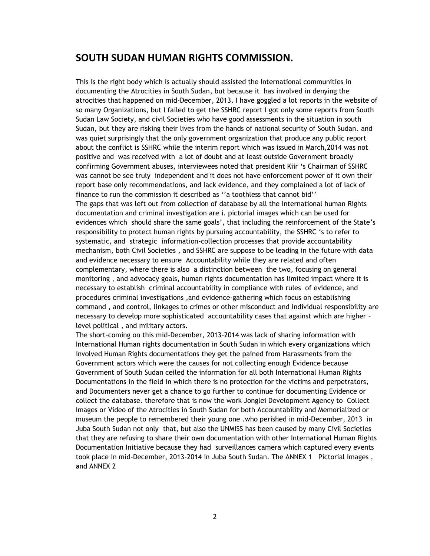#### **SOUTH SUDAN HUMAN RIGHTS COMMISSION.**

This is the right body which is actually should assisted the International communities in documenting the Atrocities in South Sudan, but because it has involved in denying the atrocities that happened on mid-December, 2013. I have goggled a lot reports in the website of so many Organizations, but I failed to get the SSHRC report I got only some reports from South Sudan Law Society, and civil Societies who have good assessments in the situation in south Sudan, but they are risking their lives from the hands of national security of South Sudan. and was quiet surprisingly that the only government organization that produce any public report about the conflict is SSHRC while the interim report which was issued in March,2014 was not positive and was received with a lot of doubt and at least outside Government broadly confirming Government abuses, interviewees noted that president Kiir 's Chairman of SSHRC was cannot be see truly independent and it does not have enforcement power of it own their report base only recommendations, and lack evidence, and they complained a lot of lack of finance to run the commission it described as ''a toothless that cannot bid'' The gaps that was left out from collection of database by all the International human Rights documentation and criminal investigation are i. pictorial images which can be used for evidences which should share the same goals', that including the reinforcement of the State's responsibility to protect human rights by pursuing accountability, the SSHRC 's to refer to systematic, and strategic information-collection processes that provide accountability mechanism, both Civil Societies , and SSHRC are suppose to be leading in the future with data and evidence necessary to ensure Accountability while they are related and often complementary, where there is also a distinction between the two, focusing on general monitoring , and advocacy goals, human rights documentation has limited impact where it is necessary to establish criminal accountability in compliance with rules of evidence, and procedures criminal investigations ,and evidence-gathering which focus on establishing command , and control, linkages to crimes or other misconduct and individual responsibility are necessary to develop more sophisticated accountability cases that against which are higher – level political , and military actors.

The short-coming on this mid-December, 2013-2014 was lack of sharing information with International Human rights documentation in South Sudan in which every organizations which involved Human Rights documentations they get the pained from Harassments from the Government actors which were the causes for not collecting enough Evidence because Government of South Sudan ceiled the information for all both International Human Rights Documentations in the field in which there is no protection for the victims and perpetrators, and Documenters never get a chance to go further to continue for documenting Evidence or collect the database. therefore that is now the work Jonglei Development Agency to Collect Images or Video of the Atrocities in South Sudan for both Accountability and Memorialized or museum the people to remembered their young one .who perished in mid-December, 2013 in Juba South Sudan not only that, but also the UNMISS has been caused by many Civil Societies that they are refusing to share their own documentation with other International Human Rights Documentation Initiative because they had surveillances camera which captured every events took place in mid-December, 2013-2014 in Juba South Sudan. The ANNEX 1 Pictorial Images , and ANNEX 2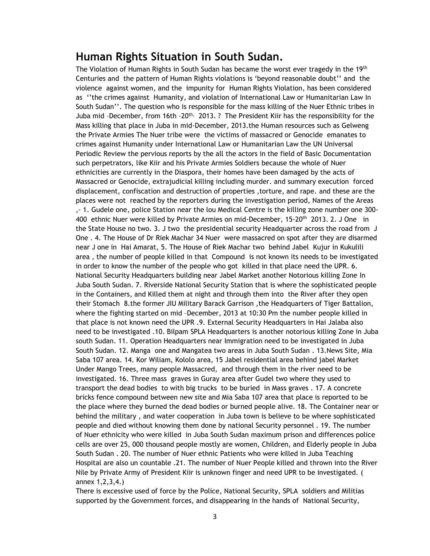### **Human Rights Situation in South Sudan.**

The Violation of Human Rights in South Sudan has became the worst ever tragedy in the 19th Centuries and the pattern of Human Rights violations is 'beyond reasonable doubt'' and the violence against women, and the impunity for Human Rights Violation, has been considered as ''the crimes against Humanity, and violation of International Law or Humanitarian Law In South Sudan''. The question who is responsible for the mass killing of the Nuer Ethnic tribes in Juba mid -December, from 16th -20<sup>th,</sup> 2013. ? The President Kiir has the responsibility for the Mass killing that place in Juba in mid-December, 2013.the Human resources such as Gelweng the Private Armies The Nuer tribe were the victims of massacred or Genocide emanates to crimes against Humanity under International Law or Humanitarian Law the UN Universal Periodic Review the pervious reports by the all the actors in the field of Basic Documentation such perpetrators, like Kiir and his Private Armies Soldiers because the whole of Nuer ethnicities are currently in the Diaspora, their homes have been damaged by the acts of Massacred or Genocide, extrajudicial killing including murder. and summary execution forced displacement, confiscation and destruction of properties ,torture, and rape. and these are the places were not reached by the reporters during the investigation period, Names of the Areas ,- 1. Gudele one, police Station near the lou Medical Centre is the killing zone number one 300- 400 ethnic Nuer were killed by Private Armies on mid-December, 15-20<sup>th</sup> 2013. 2. J One in the State House no two. 3. J two the presidential security Headquarter across the road from J One . 4. The House of Dr Riek Machar 34 Nuer were massacred on spot after they are disarmed near J one in Hai Amarat, 5. The House of Riek Machar two behind Jabel Kujur in Kukulili area , the number of people killed in that Compound is not known its needs to be investigated in order to know the number of the people who got killed in that place need the UPR. 6. National Security Headquarters building near Jabel Market another Notorious killing Zone In Juba South Sudan. 7. Riverside National Security Station that is where the sophisticated people in the Containers, and Killed them at night and through them into the River after they open their Stomach 8.the former JIU Military Barack Garrison ,the Headquarters of Tiger Battalion, where the fighting started on mid –December, 2013 at 10:30 Pm the number people killed in that place is not known need the UPR .9. External Security Headquarters in Hai Jalaba also need to be investigated .10. Bilpam SPLA Headquarters is another notorious killing Zone in Juba south Sudan. 11. Operation Headquarters near Immigration need to be investigated in Juba South Sudan. 12. Manga one and Mangatea two areas in Juba South Sudan . 13.News Site, Mia Saba 107 area. 14. Kor Wiliam, Kololo area, 15 Jabel residential area behind jabel Market Under Mango Trees, many people Massacred, and through them in the river need to be investigated. 16. Three mass graves in Guray area after Gudel two where they used to transport the dead bodies to with big trucks to be buried in Mass graves . 17. A concrete bricks fence compound between new site and Mia Saba 107 area that place is reported to be the place where they burned the dead bodies or burned people alive. 18. The Container near or behind the military , and water cooperation in Juba town is believe to be where sophisticated people and died without knowing them done by national Security personnel . 19. The number of Nuer ethnicity who were killed in Juba South Sudan maximum prison and differences police cells are over 25, 000 thousand people mostly are women, Children, and Elderly people in Juba South Sudan . 20. The number of Nuer ethnic Patients who were killed in Juba Teaching Hospital are also un countable .21. The number of Nuer People killed and thrown into the River Nile by Private Army of President Kiir is unknown finger and need UPR to be investigated. ( annex 1,2,3,4.)

There is excessive used of force by the Police, National Security, SPLA soldiers and Militias supported by the Government forces, and disappearing in the hands of National Security,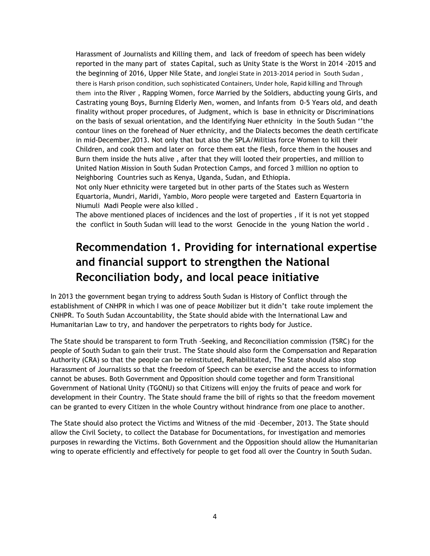Harassment of Journalists and Killing them, and lack of freedom of speech has been widely reported in the many part of states Capital, such as Unity State is the Worst in 2014 -2015 and the beginning of 2016, Upper Nile State, and Jonglei State in 2013-2014 period in South Sudan , there is Harsh prison condition, such sophisticated Containers, Under hole, Rapid killing and Through them into the River , Rapping Women, force Married by the Soldiers, abducting young Girls, and Castrating young Boys, Burning Elderly Men, women, and Infants from 0-5 Years old, and death finality without proper procedures, of Judgment, which is base in ethnicity or Discriminations on the basis of sexual orientation, and the Identifying Nuer ethnicity in the South Sudan ''the contour lines on the forehead of Nuer ethnicity, and the Dialects becomes the death certificate in mid-December,2013. Not only that but also the SPLA/Militias force Women to kill their Children, and cook them and later on force them eat the flesh, force them in the houses and Burn them inside the huts alive , after that they will looted their properties, and million to United Nation Mission in South Sudan Protection Camps, and forced 3 million no option to Neighboring Countries such as Kenya, Uganda, Sudan, and Ethiopia.

Not only Nuer ethnicity were targeted but in other parts of the States such as Western Equartoria, Mundri, Maridi, Yambio, Moro people were targeted and Eastern Equartoria in Niumuli Madi People were also killed .

The above mentioned places of incidences and the lost of properties , if it is not yet stopped the conflict in South Sudan will lead to the worst Genocide in the young Nation the world .

### **Recommendation 1. Providing for international expertise and financial support to strengthen the National Reconciliation body, and local peace initiative**

In 2013 the government began trying to address South Sudan is History of Conflict through the establishment of CNHPR in which I was one of peace Mobilizer but it didn't take route implement the CNHPR. To South Sudan Accountability, the State should abide with the International Law and Humanitarian Law to try, and handover the perpetrators to rights body for Justice.

The State should be transparent to form Truth -Seeking, and Reconciliation commission (TSRC) for the people of South Sudan to gain their trust. The State should also form the Compensation and Reparation Authority (CRA) so that the people can be reinstituted, Rehabilitated, The State should also stop Harassment of Journalists so that the freedom of Speech can be exercise and the access to information cannot be abuses. Both Government and Opposition should come together and form Transitional Government of National Unity (TGONU) so that Citizens will enjoy the fruits of peace and work for development in their Country. The State should frame the bill of rights so that the freedom movement can be granted to every Citizen in the whole Country without hindrance from one place to another.

The State should also protect the Victims and Witness of the mid –December, 2013. The State should allow the Civil Society, to collect the Database for Documentations, for investigation and memories purposes in rewarding the Victims. Both Government and the Opposition should allow the Humanitarian wing to operate efficiently and effectively for people to get food all over the Country in South Sudan.